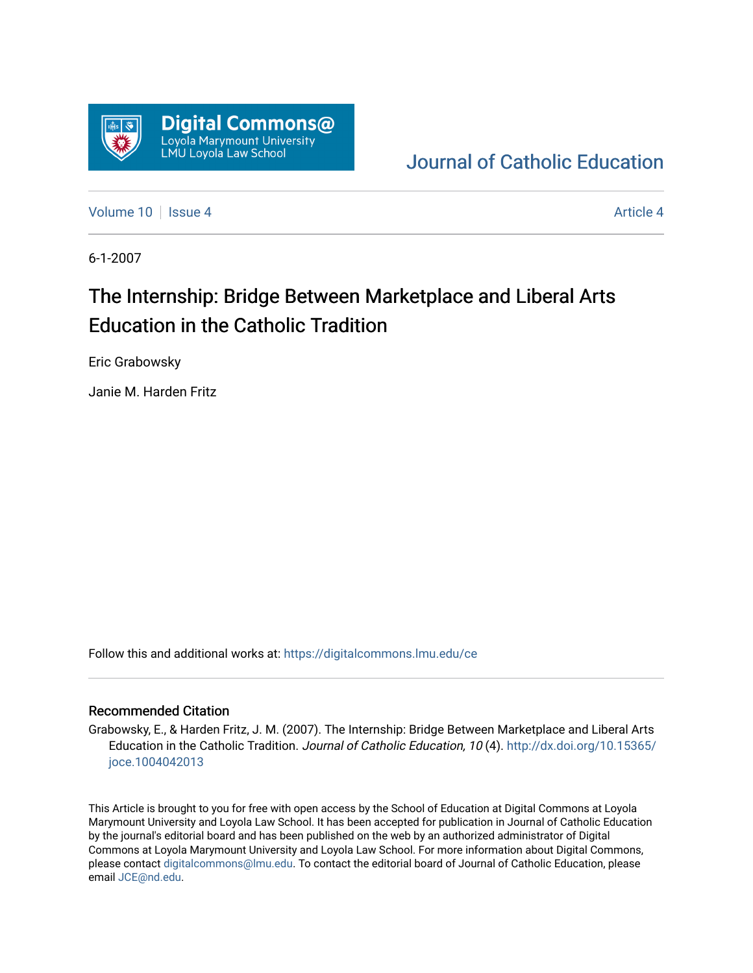

# [Journal of Catholic Education](https://digitalcommons.lmu.edu/ce)

[Volume 10](https://digitalcommons.lmu.edu/ce/vol10) | [Issue 4](https://digitalcommons.lmu.edu/ce/vol10/iss4) Article 4

6-1-2007

# The Internship: Bridge Between Marketplace and Liberal Arts Education in the Catholic Tradition

Eric Grabowsky

Janie M. Harden Fritz

Follow this and additional works at: [https://digitalcommons.lmu.edu/ce](https://digitalcommons.lmu.edu/ce?utm_source=digitalcommons.lmu.edu%2Fce%2Fvol10%2Fiss4%2F4&utm_medium=PDF&utm_campaign=PDFCoverPages)

#### Recommended Citation

Grabowsky, E., & Harden Fritz, J. M. (2007). The Internship: Bridge Between Marketplace and Liberal Arts Education in the Catholic Tradition. Journal of Catholic Education, 10 (4). [http://dx.doi.org/10.15365/](http://dx.doi.org/10.15365/joce.1004042013) [joce.1004042013](http://dx.doi.org/10.15365/joce.1004042013) 

This Article is brought to you for free with open access by the School of Education at Digital Commons at Loyola Marymount University and Loyola Law School. It has been accepted for publication in Journal of Catholic Education by the journal's editorial board and has been published on the web by an authorized administrator of Digital Commons at Loyola Marymount University and Loyola Law School. For more information about Digital Commons, please contact [digitalcommons@lmu.edu](mailto:digitalcommons@lmu.edu). To contact the editorial board of Journal of Catholic Education, please email [JCE@nd.edu](mailto:JCE@nd.edu).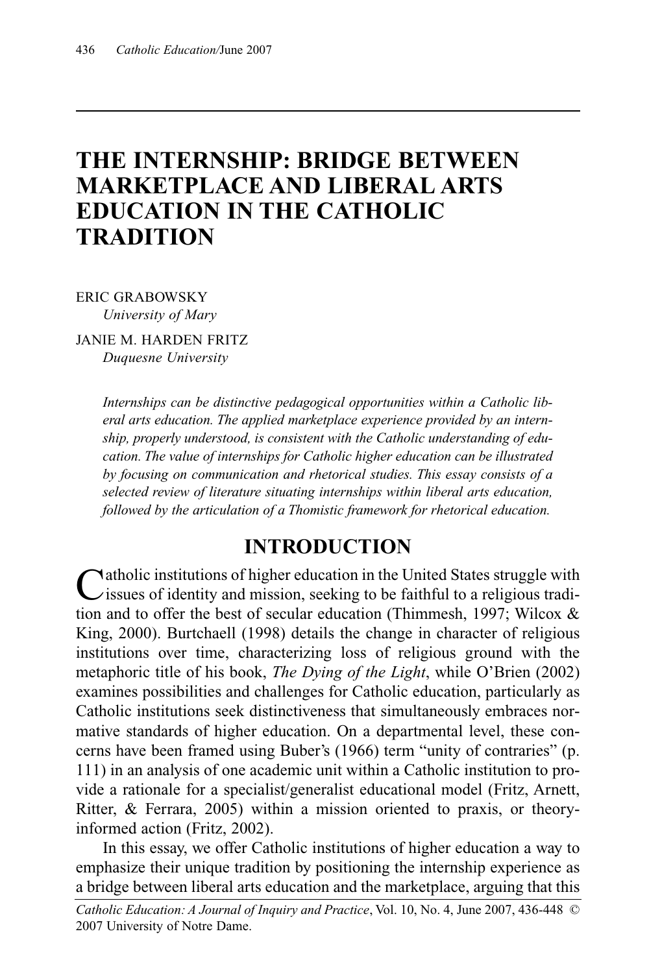# **THE INTERNSHIP: BRIDGE BETWEEN MARKETPLACE AND LIBERAL ARTS EDUCATION IN THE CATHOLIC TRADITION**

ERIC GRABOWSKY *University of Mary*

JANIE M. HARDEN FRITZ *Duquesne University*

> *Internships can be distinctive pedagogical opportunities within a Catholic liberal arts education. The applied marketplace experience provided by an internship, properly understood, is consistent with the Catholic understanding of education. The value of internships for Catholic higher education can be illustrated by focusing on communication and rhetorical studies. This essay consists of a selected review of literature situating internships within liberal arts education, followed by the articulation of a Thomistic framework for rhetorical education.*

#### **INTRODUCTION**

Catholic institutions of higher education in the United States struggle with<br>issues of identity and mission, seeking to be faithful to a religious tradition and to offer the best of secular education (Thimmesh, 1997; Wilcox & King, 2000). Burtchaell (1998) details the change in character of religious institutions over time, characterizing loss of religious ground with the metaphoric title of his book, *The Dying of the Light*, while O'Brien (2002) examines possibilities and challenges for Catholic education, particularly as Catholic institutions seek distinctiveness that simultaneously embraces normative standards of higher education. On a departmental level, these concerns have been framed using Buber's (1966) term "unity of contraries" (p. 111) in an analysis of one academic unit within a Catholic institution to provide a rationale for a specialist/generalist educational model (Fritz, Arnett, Ritter, & Ferrara, 2005) within a mission oriented to praxis, or theoryinformed action (Fritz, 2002).

In this essay, we offer Catholic institutions of higher education a way to emphasize their unique tradition by positioning the internship experience as a bridge between liberal arts education and the marketplace, arguing that this

*Catholic Education: A Journal of Inquiry and Practice*, Vol. 10, No. 4, June 2007, 436-448 © 2007 University of Notre Dame.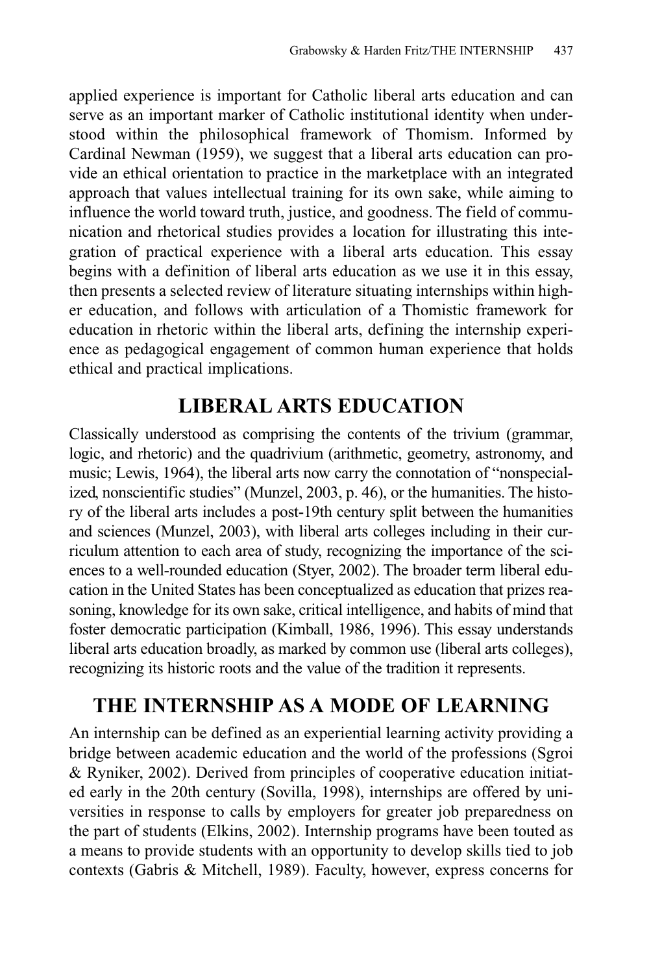applied experience is important for Catholic liberal arts education and can serve as an important marker of Catholic institutional identity when understood within the philosophical framework of Thomism. Informed by Cardinal Newman (1959), we suggest that a liberal arts education can provide an ethical orientation to practice in the marketplace with an integrated approach that values intellectual training for its own sake, while aiming to influence the world toward truth, justice, and goodness. The field of communication and rhetorical studies provides a location for illustrating this integration of practical experience with a liberal arts education. This essay begins with a definition of liberal arts education as we use it in this essay, then presents a selected review of literature situating internships within higher education, and follows with articulation of a Thomistic framework for education in rhetoric within the liberal arts, defining the internship experience as pedagogical engagement of common human experience that holds ethical and practical implications.

## **LIBERAL ARTS EDUCATION**

Classically understood as comprising the contents of the trivium (grammar, logic, and rhetoric) and the quadrivium (arithmetic, geometry, astronomy, and music; Lewis, 1964), the liberal arts now carry the connotation of "nonspecialized, nonscientific studies" (Munzel, 2003, p. 46), or the humanities. The history of the liberal arts includes a post-19th century split between the humanities and sciences (Munzel, 2003), with liberal arts colleges including in their curriculum attention to each area of study, recognizing the importance of the sciences to a well-rounded education (Styer, 2002). The broader term liberal education in the United States has been conceptualized as education that prizes reasoning, knowledge for its own sake, critical intelligence, and habits of mind that foster democratic participation (Kimball, 1986, 1996). This essay understands liberal arts education broadly, as marked by common use (liberal arts colleges), recognizing its historic roots and the value of the tradition it represents.

# **THE INTERNSHIP AS A MODE OF LEARNING**

An internship can be defined as an experiential learning activity providing a bridge between academic education and the world of the professions (Sgroi & Ryniker, 2002). Derived from principles of cooperative education initiated early in the 20th century (Sovilla, 1998), internships are offered by universities in response to calls by employers for greater job preparedness on the part of students (Elkins, 2002). Internship programs have been touted as a means to provide students with an opportunity to develop skills tied to job contexts (Gabris & Mitchell, 1989). Faculty, however, express concerns for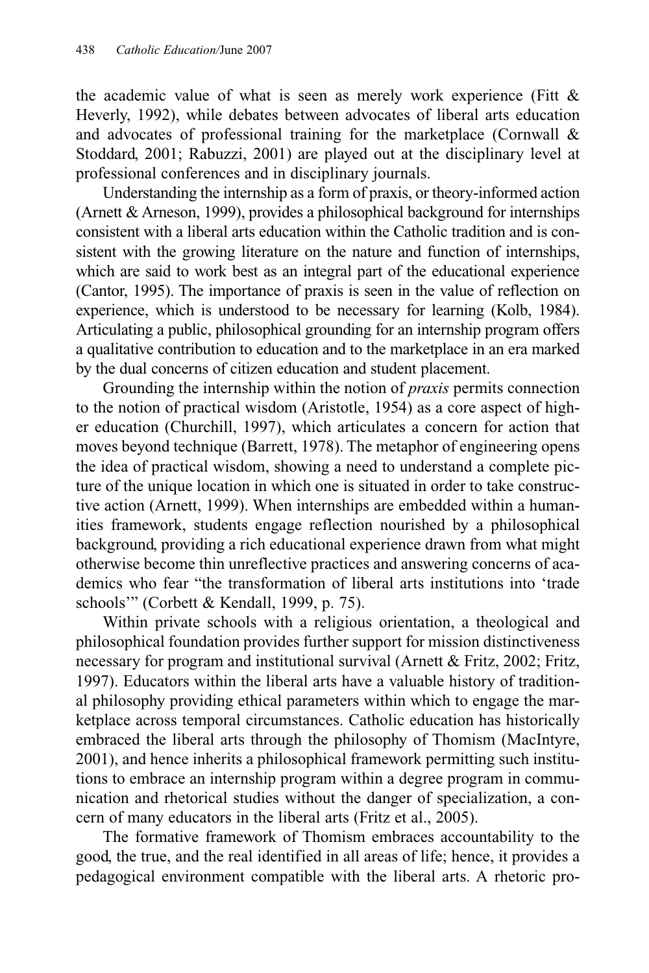the academic value of what is seen as merely work experience (Fitt  $\&$ Heverly, 1992), while debates between advocates of liberal arts education and advocates of professional training for the marketplace (Cornwall & Stoddard, 2001; Rabuzzi, 2001) are played out at the disciplinary level at professional conferences and in disciplinary journals.

Understanding the internship as a form of praxis, or theory-informed action (Arnett & Arneson, 1999), provides a philosophical background for internships consistent with a liberal arts education within the Catholic tradition and is consistent with the growing literature on the nature and function of internships, which are said to work best as an integral part of the educational experience (Cantor, 1995). The importance of praxis is seen in the value of reflection on experience, which is understood to be necessary for learning (Kolb, 1984). Articulating a public, philosophical grounding for an internship program offers a qualitative contribution to education and to the marketplace in an era marked by the dual concerns of citizen education and student placement.

Grounding the internship within the notion of *praxis* permits connection to the notion of practical wisdom (Aristotle, 1954) as a core aspect of higher education (Churchill, 1997), which articulates a concern for action that moves beyond technique (Barrett, 1978). The metaphor of engineering opens the idea of practical wisdom, showing a need to understand a complete picture of the unique location in which one is situated in order to take constructive action (Arnett, 1999). When internships are embedded within a humanities framework, students engage reflection nourished by a philosophical background, providing a rich educational experience drawn from what might otherwise become thin unreflective practices and answering concerns of academics who fear "the transformation of liberal arts institutions into 'trade schools'" (Corbett & Kendall, 1999, p. 75).

Within private schools with a religious orientation, a theological and philosophical foundation provides further support for mission distinctiveness necessary for program and institutional survival (Arnett & Fritz, 2002; Fritz, 1997). Educators within the liberal arts have a valuable history of traditional philosophy providing ethical parameters within which to engage the marketplace across temporal circumstances. Catholic education has historically embraced the liberal arts through the philosophy of Thomism (MacIntyre, 2001), and hence inherits a philosophical framework permitting such institutions to embrace an internship program within a degree program in communication and rhetorical studies without the danger of specialization, a concern of many educators in the liberal arts (Fritz et al., 2005).

The formative framework of Thomism embraces accountability to the good, the true, and the real identified in all areas of life; hence, it provides a pedagogical environment compatible with the liberal arts. A rhetoric pro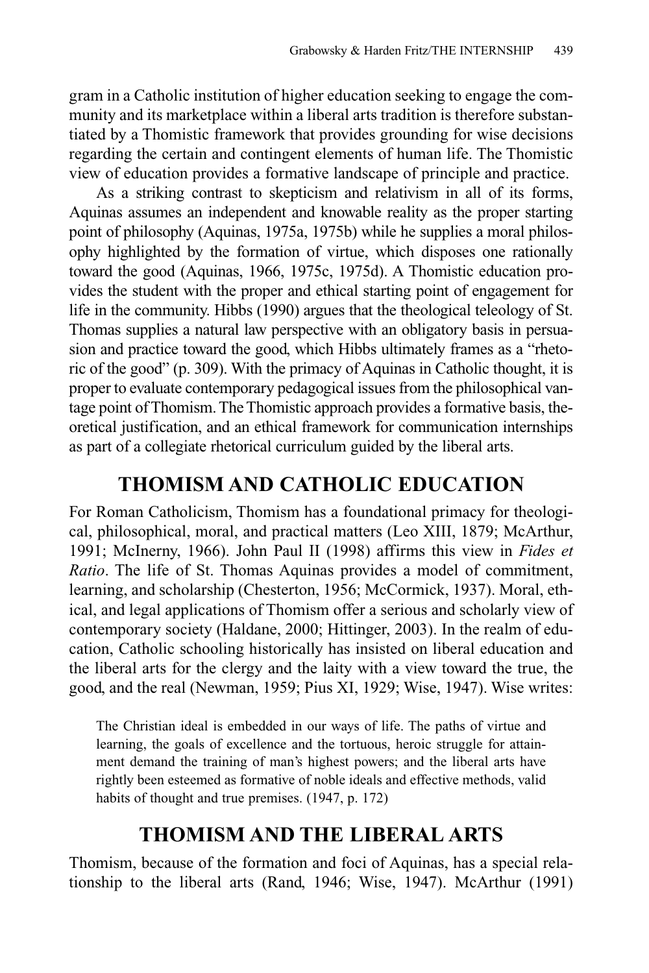gram in a Catholic institution of higher education seeking to engage the community and its marketplace within a liberal arts tradition is therefore substantiated by a Thomistic framework that provides grounding for wise decisions regarding the certain and contingent elements of human life. The Thomistic view of education provides a formative landscape of principle and practice.

As a striking contrast to skepticism and relativism in all of its forms, Aquinas assumes an independent and knowable reality as the proper starting point of philosophy (Aquinas, 1975a, 1975b) while he supplies a moral philosophy highlighted by the formation of virtue, which disposes one rationally toward the good (Aquinas, 1966, 1975c, 1975d). A Thomistic education provides the student with the proper and ethical starting point of engagement for life in the community. Hibbs (1990) argues that the theological teleology of St. Thomas supplies a natural law perspective with an obligatory basis in persuasion and practice toward the good, which Hibbs ultimately frames as a "rhetoric of the good" (p. 309). With the primacy of Aquinas in Catholic thought, it is proper to evaluate contemporary pedagogical issues from the philosophical vantage point of Thomism. The Thomistic approach provides a formative basis, theoretical justification, and an ethical framework for communication internships as part of a collegiate rhetorical curriculum guided by the liberal arts.

#### **THOMISM AND CATHOLIC EDUCATION**

For Roman Catholicism, Thomism has a foundational primacy for theological, philosophical, moral, and practical matters (Leo XIII, 1879; McArthur, 1991; McInerny, 1966). John Paul II (1998) affirms this view in *Fides et Ratio*. The life of St. Thomas Aquinas provides a model of commitment, learning, and scholarship (Chesterton, 1956; McCormick, 1937). Moral, ethical, and legal applications of Thomism offer a serious and scholarly view of contemporary society (Haldane, 2000; Hittinger, 2003). In the realm of education, Catholic schooling historically has insisted on liberal education and the liberal arts for the clergy and the laity with a view toward the true, the good, and the real (Newman, 1959; Pius XI, 1929; Wise, 1947). Wise writes:

The Christian ideal is embedded in our ways of life. The paths of virtue and learning, the goals of excellence and the tortuous, heroic struggle for attainment demand the training of man's highest powers; and the liberal arts have rightly been esteemed as formative of noble ideals and effective methods, valid habits of thought and true premises. (1947, p. 172)

## **THOMISM AND THE LIBERAL ARTS**

Thomism, because of the formation and foci of Aquinas, has a special relationship to the liberal arts (Rand, 1946; Wise, 1947). McArthur (1991)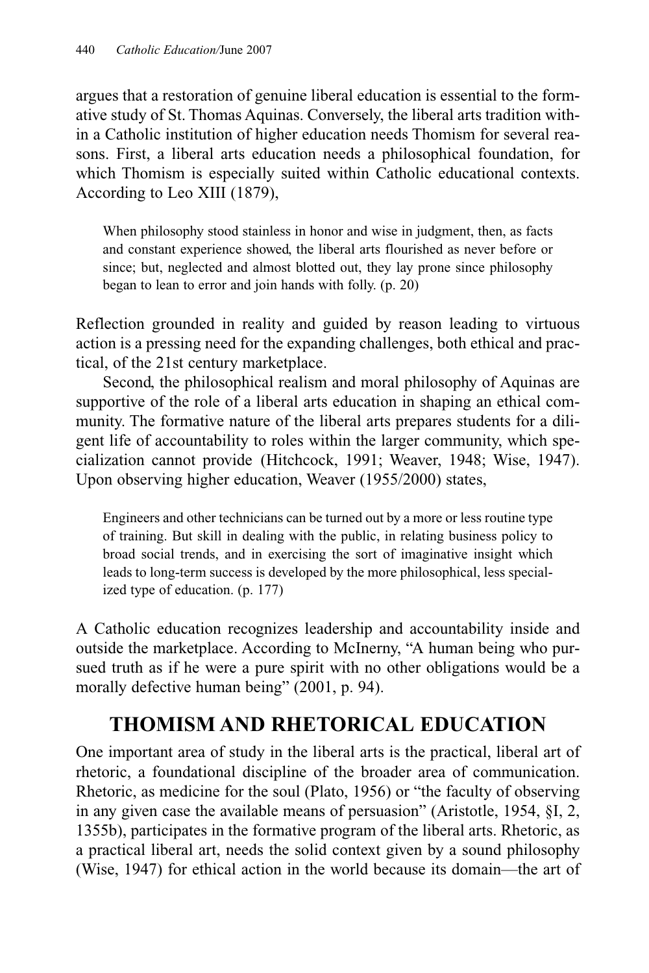argues that a restoration of genuine liberal education is essential to the formative study of St. Thomas Aquinas. Conversely, the liberal arts tradition within a Catholic institution of higher education needs Thomism for several reasons. First, a liberal arts education needs a philosophical foundation, for which Thomism is especially suited within Catholic educational contexts. According to Leo XIII (1879),

When philosophy stood stainless in honor and wise in judgment, then, as facts and constant experience showed, the liberal arts flourished as never before or since; but, neglected and almost blotted out, they lay prone since philosophy began to lean to error and join hands with folly. (p. 20)

Reflection grounded in reality and guided by reason leading to virtuous action is a pressing need for the expanding challenges, both ethical and practical, of the 21st century marketplace.

Second, the philosophical realism and moral philosophy of Aquinas are supportive of the role of a liberal arts education in shaping an ethical community. The formative nature of the liberal arts prepares students for a diligent life of accountability to roles within the larger community, which specialization cannot provide (Hitchcock, 1991; Weaver, 1948; Wise, 1947). Upon observing higher education, Weaver (1955/2000) states,

Engineers and other technicians can be turned out by a more or less routine type of training. But skill in dealing with the public, in relating business policy to broad social trends, and in exercising the sort of imaginative insight which leads to long-term success is developed by the more philosophical, less specialized type of education. (p. 177)

A Catholic education recognizes leadership and accountability inside and outside the marketplace. According to McInerny, "A human being who pursued truth as if he were a pure spirit with no other obligations would be a morally defective human being" (2001, p. 94).

# **THOMISM AND RHETORICAL EDUCATION**

One important area of study in the liberal arts is the practical, liberal art of rhetoric, a foundational discipline of the broader area of communication. Rhetoric, as medicine for the soul (Plato, 1956) or "the faculty of observing in any given case the available means of persuasion" (Aristotle, 1954, §I, 2, 1355b), participates in the formative program of the liberal arts. Rhetoric, as a practical liberal art, needs the solid context given by a sound philosophy (Wise, 1947) for ethical action in the world because its domain—the art of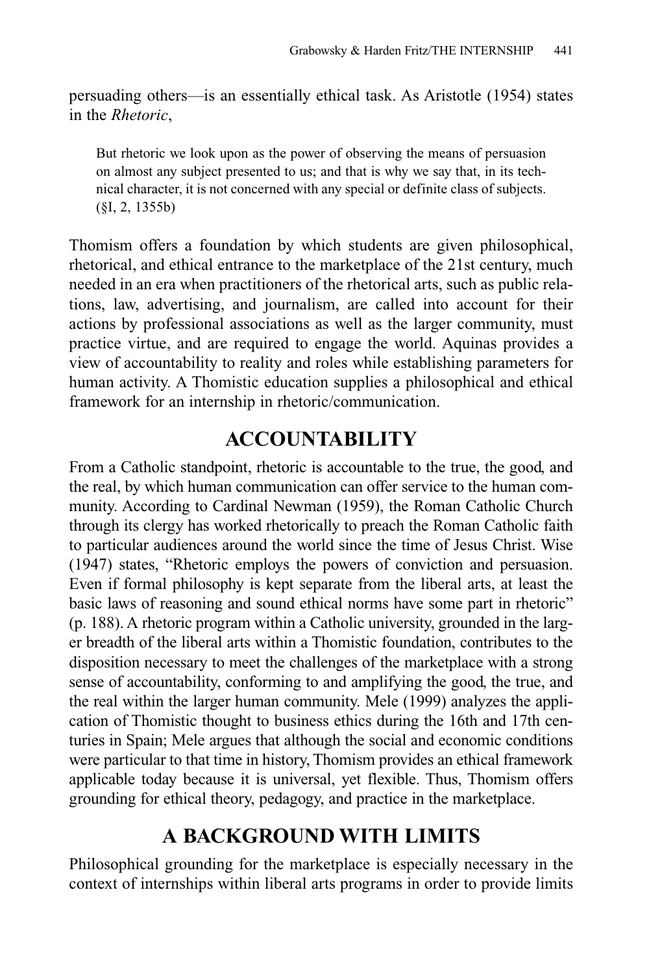persuading others—is an essentially ethical task. As Aristotle (1954) states in the *Rhetoric*,

But rhetoric we look upon as the power of observing the means of persuasion on almost any subject presented to us; and that is why we say that, in its technical character, it is not concerned with any special or definite class of subjects. (§I, 2, 1355b)

Thomism offers a foundation by which students are given philosophical, rhetorical, and ethical entrance to the marketplace of the 21st century, much needed in an era when practitioners of the rhetorical arts, such as public relations, law, advertising, and journalism, are called into account for their actions by professional associations as well as the larger community, must practice virtue, and are required to engage the world. Aquinas provides a view of accountability to reality and roles while establishing parameters for human activity. A Thomistic education supplies a philosophical and ethical framework for an internship in rhetoric/communication.

#### **ACCOUNTABILITY**

From a Catholic standpoint, rhetoric is accountable to the true, the good, and the real, by which human communication can offer service to the human community. According to Cardinal Newman (1959), the Roman Catholic Church through its clergy has worked rhetorically to preach the Roman Catholic faith to particular audiences around the world since the time of Jesus Christ. Wise (1947) states, "Rhetoric employs the powers of conviction and persuasion. Even if formal philosophy is kept separate from the liberal arts, at least the basic laws of reasoning and sound ethical norms have some part in rhetoric" (p. 188). A rhetoric program within a Catholic university, grounded in the larger breadth of the liberal arts within a Thomistic foundation, contributes to the disposition necessary to meet the challenges of the marketplace with a strong sense of accountability, conforming to and amplifying the good, the true, and the real within the larger human community. Mele (1999) analyzes the application of Thomistic thought to business ethics during the 16th and 17th centuries in Spain; Mele argues that although the social and economic conditions were particular to that time in history, Thomism provides an ethical framework applicable today because it is universal, yet flexible. Thus, Thomism offers grounding for ethical theory, pedagogy, and practice in the marketplace.

## **A BACKGROUND WITH LIMITS**

Philosophical grounding for the marketplace is especially necessary in the context of internships within liberal arts programs in order to provide limits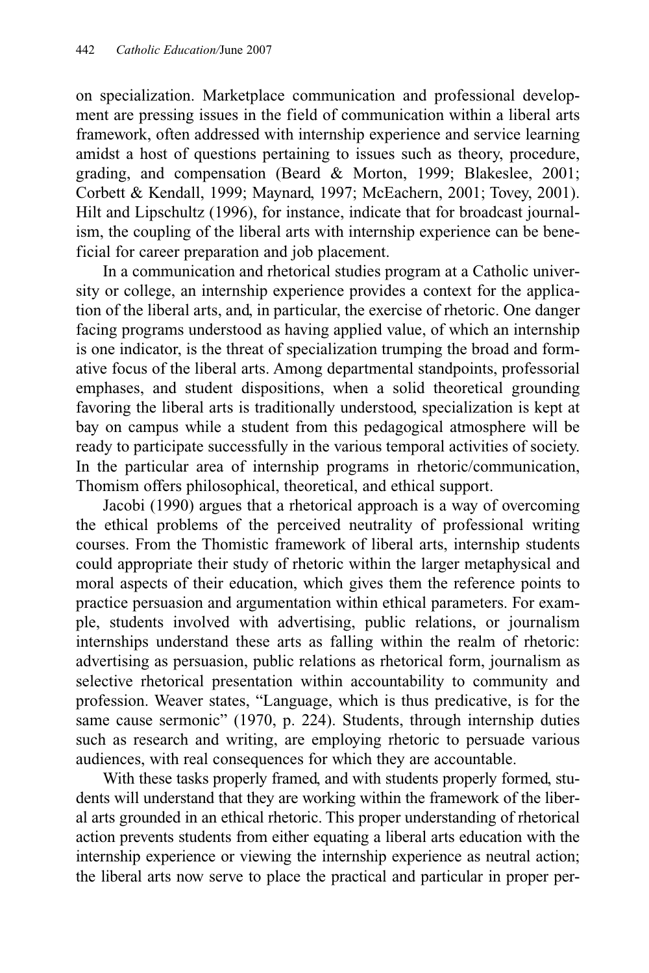on specialization. Marketplace communication and professional development are pressing issues in the field of communication within a liberal arts framework, often addressed with internship experience and service learning amidst a host of questions pertaining to issues such as theory, procedure, grading, and compensation (Beard & Morton, 1999; Blakeslee, 2001; Corbett & Kendall, 1999; Maynard, 1997; McEachern, 2001; Tovey, 2001). Hilt and Lipschultz (1996), for instance, indicate that for broadcast journalism, the coupling of the liberal arts with internship experience can be beneficial for career preparation and job placement.

In a communication and rhetorical studies program at a Catholic university or college, an internship experience provides a context for the application of the liberal arts, and, in particular, the exercise of rhetoric. One danger facing programs understood as having applied value, of which an internship is one indicator, is the threat of specialization trumping the broad and formative focus of the liberal arts. Among departmental standpoints, professorial emphases, and student dispositions, when a solid theoretical grounding favoring the liberal arts is traditionally understood, specialization is kept at bay on campus while a student from this pedagogical atmosphere will be ready to participate successfully in the various temporal activities of society. In the particular area of internship programs in rhetoric/communication, Thomism offers philosophical, theoretical, and ethical support.

Jacobi (1990) argues that a rhetorical approach is a way of overcoming the ethical problems of the perceived neutrality of professional writing courses. From the Thomistic framework of liberal arts, internship students could appropriate their study of rhetoric within the larger metaphysical and moral aspects of their education, which gives them the reference points to practice persuasion and argumentation within ethical parameters. For example, students involved with advertising, public relations, or journalism internships understand these arts as falling within the realm of rhetoric: advertising as persuasion, public relations as rhetorical form, journalism as selective rhetorical presentation within accountability to community and profession. Weaver states, "Language, which is thus predicative, is for the same cause sermonic" (1970, p. 224). Students, through internship duties such as research and writing, are employing rhetoric to persuade various audiences, with real consequences for which they are accountable.

With these tasks properly framed, and with students properly formed, students will understand that they are working within the framework of the liberal arts grounded in an ethical rhetoric. This proper understanding of rhetorical action prevents students from either equating a liberal arts education with the internship experience or viewing the internship experience as neutral action; the liberal arts now serve to place the practical and particular in proper per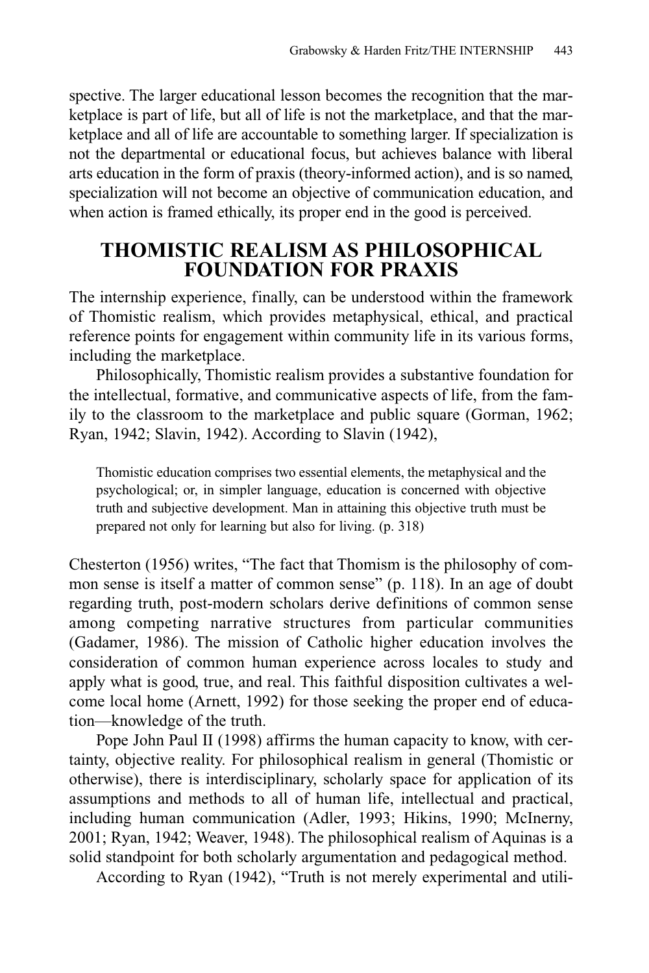spective. The larger educational lesson becomes the recognition that the marketplace is part of life, but all of life is not the marketplace, and that the marketplace and all of life are accountable to something larger. If specialization is not the departmental or educational focus, but achieves balance with liberal arts education in the form of praxis (theory-informed action), and is so named, specialization will not become an objective of communication education, and when action is framed ethically, its proper end in the good is perceived.

#### **THOMISTIC REALISM AS PHILOSOPHICAL FOUNDATION FOR PRAXIS**

The internship experience, finally, can be understood within the framework of Thomistic realism, which provides metaphysical, ethical, and practical reference points for engagement within community life in its various forms, including the marketplace.

Philosophically, Thomistic realism provides a substantive foundation for the intellectual, formative, and communicative aspects of life, from the family to the classroom to the marketplace and public square (Gorman, 1962; Ryan, 1942; Slavin, 1942). According to Slavin (1942),

Thomistic education comprises two essential elements, the metaphysical and the psychological; or, in simpler language, education is concerned with objective truth and subjective development. Man in attaining this objective truth must be prepared not only for learning but also for living. (p. 318)

Chesterton (1956) writes, "The fact that Thomism is the philosophy of common sense is itself a matter of common sense" (p. 118). In an age of doubt regarding truth, post-modern scholars derive definitions of common sense among competing narrative structures from particular communities (Gadamer, 1986). The mission of Catholic higher education involves the consideration of common human experience across locales to study and apply what is good, true, and real. This faithful disposition cultivates a welcome local home (Arnett, 1992) for those seeking the proper end of education—knowledge of the truth.

Pope John Paul II (1998) affirms the human capacity to know, with certainty, objective reality. For philosophical realism in general (Thomistic or otherwise), there is interdisciplinary, scholarly space for application of its assumptions and methods to all of human life, intellectual and practical, including human communication (Adler, 1993; Hikins, 1990; McInerny, 2001; Ryan, 1942; Weaver, 1948). The philosophical realism of Aquinas is a solid standpoint for both scholarly argumentation and pedagogical method.

According to Ryan (1942), "Truth is not merely experimental and utili-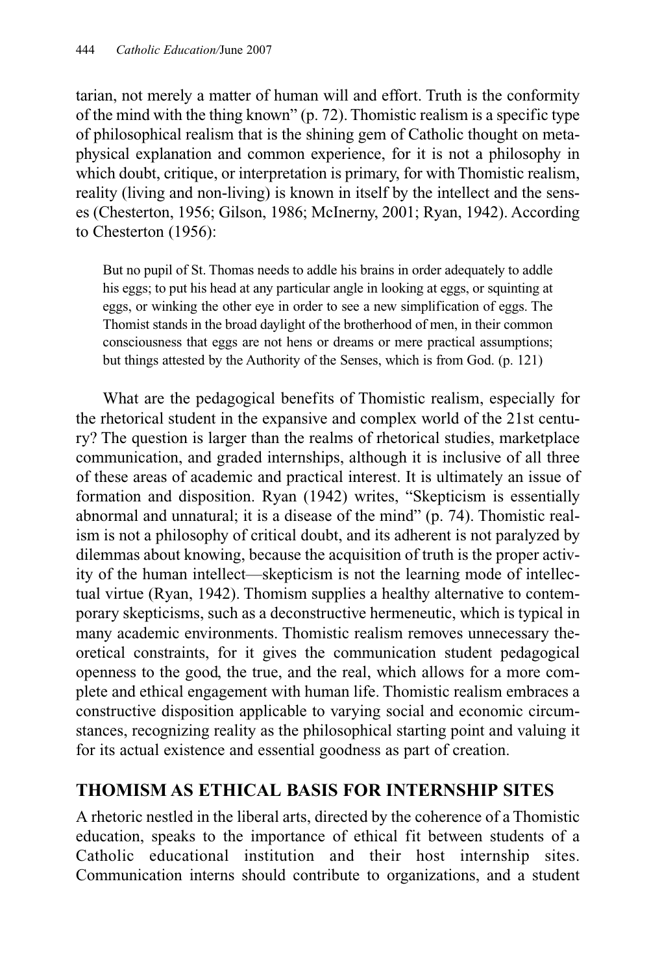tarian, not merely a matter of human will and effort. Truth is the conformity of the mind with the thing known" (p. 72). Thomistic realism is a specific type of philosophical realism that is the shining gem of Catholic thought on metaphysical explanation and common experience, for it is not a philosophy in which doubt, critique, or interpretation is primary, for with Thomistic realism, reality (living and non-living) is known in itself by the intellect and the senses (Chesterton, 1956; Gilson, 1986; McInerny, 2001; Ryan, 1942). According to Chesterton (1956):

But no pupil of St. Thomas needs to addle his brains in order adequately to addle his eggs; to put his head at any particular angle in looking at eggs, or squinting at eggs, or winking the other eye in order to see a new simplification of eggs. The Thomist stands in the broad daylight of the brotherhood of men, in their common consciousness that eggs are not hens or dreams or mere practical assumptions; but things attested by the Authority of the Senses, which is from God. (p. 121)

What are the pedagogical benefits of Thomistic realism, especially for the rhetorical student in the expansive and complex world of the 21st century? The question is larger than the realms of rhetorical studies, marketplace communication, and graded internships, although it is inclusive of all three of these areas of academic and practical interest. It is ultimately an issue of formation and disposition. Ryan (1942) writes, "Skepticism is essentially abnormal and unnatural; it is a disease of the mind" (p. 74). Thomistic realism is not a philosophy of critical doubt, and its adherent is not paralyzed by dilemmas about knowing, because the acquisition of truth is the proper activity of the human intellect—skepticism is not the learning mode of intellectual virtue (Ryan, 1942). Thomism supplies a healthy alternative to contemporary skepticisms, such as a deconstructive hermeneutic, which is typical in many academic environments. Thomistic realism removes unnecessary theoretical constraints, for it gives the communication student pedagogical openness to the good, the true, and the real, which allows for a more complete and ethical engagement with human life. Thomistic realism embraces a constructive disposition applicable to varying social and economic circumstances, recognizing reality as the philosophical starting point and valuing it for its actual existence and essential goodness as part of creation.

#### **THOMISM AS ETHICAL BASIS FOR INTERNSHIP SITES**

A rhetoric nestled in the liberal arts, directed by the coherence of a Thomistic education, speaks to the importance of ethical fit between students of a Catholic educational institution and their host internship sites. Communication interns should contribute to organizations, and a student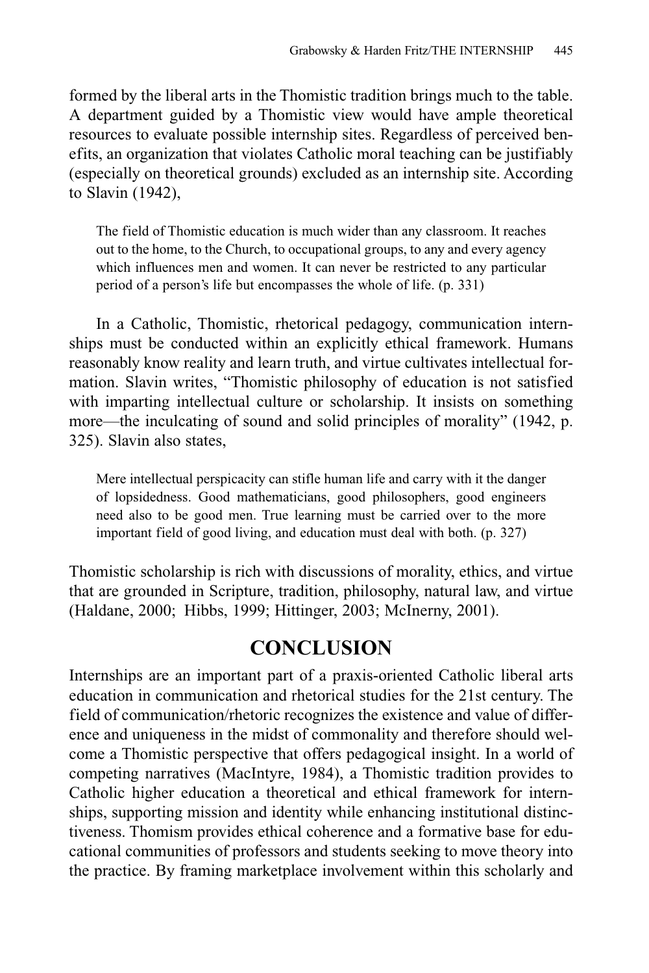formed by the liberal arts in the Thomistic tradition brings much to the table. A department guided by a Thomistic view would have ample theoretical resources to evaluate possible internship sites. Regardless of perceived benefits, an organization that violates Catholic moral teaching can be justifiably (especially on theoretical grounds) excluded as an internship site. According to Slavin (1942),

The field of Thomistic education is much wider than any classroom. It reaches out to the home, to the Church, to occupational groups, to any and every agency which influences men and women. It can never be restricted to any particular period of a person's life but encompasses the whole of life. (p. 331)

In a Catholic, Thomistic, rhetorical pedagogy, communication internships must be conducted within an explicitly ethical framework. Humans reasonably know reality and learn truth, and virtue cultivates intellectual formation. Slavin writes, "Thomistic philosophy of education is not satisfied with imparting intellectual culture or scholarship. It insists on something more—the inculcating of sound and solid principles of morality" (1942, p. 325). Slavin also states,

Mere intellectual perspicacity can stifle human life and carry with it the danger of lopsidedness. Good mathematicians, good philosophers, good engineers need also to be good men. True learning must be carried over to the more important field of good living, and education must deal with both. (p. 327)

Thomistic scholarship is rich with discussions of morality, ethics, and virtue that are grounded in Scripture, tradition, philosophy, natural law, and virtue (Haldane, 2000; Hibbs, 1999; Hittinger, 2003; McInerny, 2001).

#### **CONCLUSION**

Internships are an important part of a praxis-oriented Catholic liberal arts education in communication and rhetorical studies for the 21st century. The field of communication/rhetoric recognizes the existence and value of difference and uniqueness in the midst of commonality and therefore should welcome a Thomistic perspective that offers pedagogical insight. In a world of competing narratives (MacIntyre, 1984), a Thomistic tradition provides to Catholic higher education a theoretical and ethical framework for internships, supporting mission and identity while enhancing institutional distinctiveness. Thomism provides ethical coherence and a formative base for educational communities of professors and students seeking to move theory into the practice. By framing marketplace involvement within this scholarly and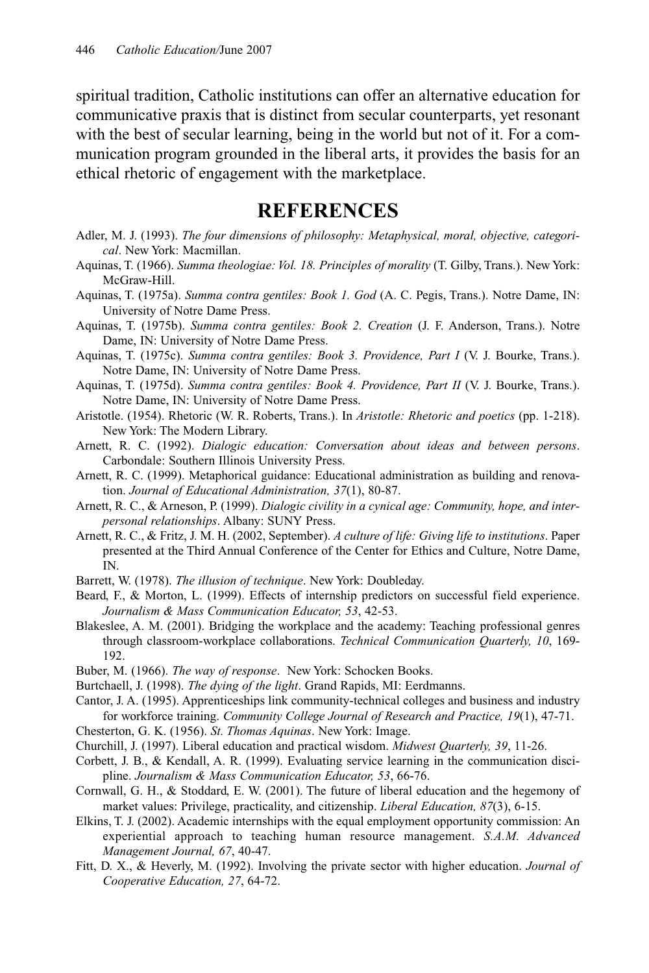spiritual tradition, Catholic institutions can offer an alternative education for communicative praxis that is distinct from secular counterparts, yet resonant with the best of secular learning, being in the world but not of it. For a communication program grounded in the liberal arts, it provides the basis for an ethical rhetoric of engagement with the marketplace.

#### **REFERENCES**

- Adler, M. J. (1993). *The four dimensions of philosophy: Metaphysical, moral, objective, categorical*. New York: Macmillan.
- Aquinas, T. (1966). *Summa theologiae: Vol. 18. Principles of morality* (T. Gilby, Trans.). New York: McGraw-Hill.
- Aquinas, T. (1975a). *Summa contra gentiles: Book 1. God* (A. C. Pegis, Trans.). Notre Dame, IN: University of Notre Dame Press.
- Aquinas, T. (1975b). *Summa contra gentiles: Book 2. Creation* (J. F. Anderson, Trans.). Notre Dame, IN: University of Notre Dame Press.
- Aquinas, T. (1975c). *Summa contra gentiles: Book 3. Providence, Part I* (V. J. Bourke, Trans.). Notre Dame, IN: University of Notre Dame Press.
- Aquinas, T. (1975d). *Summa contra gentiles: Book 4. Providence, Part II* (V. J. Bourke, Trans.). Notre Dame, IN: University of Notre Dame Press.
- Aristotle. (1954). Rhetoric (W. R. Roberts, Trans.). In *Aristotle: Rhetoric and poetics* (pp. 1-218). New York: The Modern Library.
- Arnett, R. C. (1992). *Dialogic education: Conversation about ideas and between persons*. Carbondale: Southern Illinois University Press.
- Arnett, R. C. (1999). Metaphorical guidance: Educational administration as building and renovation. *Journal of Educational Administration, 37*(1), 80-87.
- Arnett, R. C., & Arneson, P. (1999). *Dialogic civility in a cynical age: Community, hope, and interpersonal relationships*. Albany: SUNY Press.
- Arnett, R. C., & Fritz, J. M. H. (2002, September). *A culture of life: Giving life to institutions*. Paper presented at the Third Annual Conference of the Center for Ethics and Culture, Notre Dame, IN.
- Barrett, W. (1978). *The illusion of technique*. New York: Doubleday.
- Beard, F., & Morton, L. (1999). Effects of internship predictors on successful field experience. *Journalism & Mass Communication Educator, 53*, 42-53.
- Blakeslee, A. M. (2001). Bridging the workplace and the academy: Teaching professional genres through classroom-workplace collaborations. *Technical Communication Quarterly, 10*, 169- 192.
- Buber, M. (1966). *The way of response*. New York: Schocken Books.
- Burtchaell, J. (1998). *The dying of the light*. Grand Rapids, MI: Eerdmanns.
- Cantor, J. A. (1995). Apprenticeships link community-technical colleges and business and industry for workforce training. *Community College Journal of Research and Practice, 19*(1), 47-71.
- Chesterton, G. K. (1956). *St. Thomas Aquinas*. New York: Image.
- Churchill, J. (1997). Liberal education and practical wisdom. *Midwest Quarterly, 39*, 11-26.
- Corbett, J. B., & Kendall, A. R. (1999). Evaluating service learning in the communication discipline. *Journalism & Mass Communication Educator, 53*, 66-76.
- Cornwall, G. H., & Stoddard, E. W. (2001). The future of liberal education and the hegemony of market values: Privilege, practicality, and citizenship. *Liberal Education, 87*(3), 6-15.
- Elkins, T. J. (2002). Academic internships with the equal employment opportunity commission: An experiential approach to teaching human resource management. *S.A.M. Advanced Management Journal, 67*, 40-47.
- Fitt, D. X., & Heverly, M. (1992). Involving the private sector with higher education. *Journal of Cooperative Education, 27*, 64-72.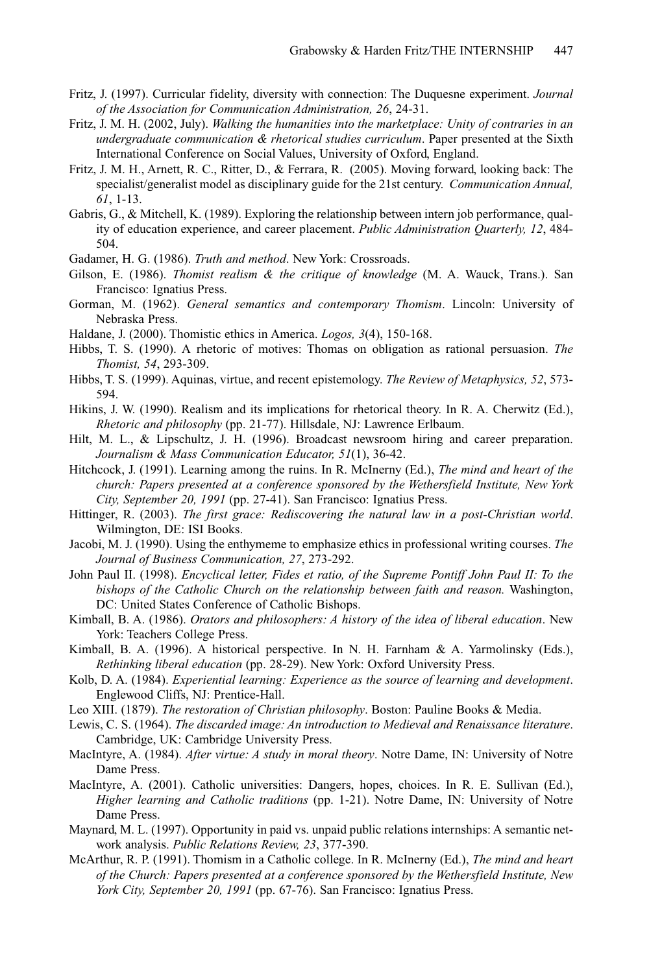- Fritz, J. (1997). Curricular fidelity, diversity with connection: The Duquesne experiment. *Journal of the Association for Communication Administration, 26*, 24-31.
- Fritz, J. M. H. (2002, July). *Walking the humanities into the marketplace: Unity of contraries in an undergraduate communication & rhetorical studies curriculum*. Paper presented at the Sixth International Conference on Social Values, University of Oxford, England.
- Fritz, J. M. H., Arnett, R. C., Ritter, D., & Ferrara, R. (2005). Moving forward, looking back: The specialist/generalist model as disciplinary guide for the 21st century. *Communication Annual, 61*, 1-13.
- Gabris, G., & Mitchell, K. (1989). Exploring the relationship between intern job performance, quality of education experience, and career placement. *Public Administration Quarterly, 12*, 484- 504.
- Gadamer, H. G. (1986). *Truth and method*. New York: Crossroads.
- Gilson, E. (1986). *Thomist realism & the critique of knowledge* (M. A. Wauck, Trans.). San Francisco: Ignatius Press.
- Gorman, M. (1962). *General semantics and contemporary Thomism*. Lincoln: University of Nebraska Press.
- Haldane, J. (2000). Thomistic ethics in America. *Logos, 3*(4), 150-168.
- Hibbs, T. S. (1990). A rhetoric of motives: Thomas on obligation as rational persuasion. *The Thomist, 54*, 293-309.
- Hibbs, T. S. (1999). Aquinas, virtue, and recent epistemology. *The Review of Metaphysics, 52*, 573- 594.
- Hikins, J. W. (1990). Realism and its implications for rhetorical theory. In R. A. Cherwitz (Ed.), *Rhetoric and philosophy* (pp. 21-77). Hillsdale, NJ: Lawrence Erlbaum.
- Hilt, M. L., & Lipschultz, J. H. (1996). Broadcast newsroom hiring and career preparation. *Journalism & Mass Communication Educator, 51*(1), 36-42.
- Hitchcock, J. (1991). Learning among the ruins. In R. McInerny (Ed.), *The mind and heart of the church: Papers presented at a conference sponsored by the Wethersfield Institute, New York City, September 20, 1991* (pp. 27-41). San Francisco: Ignatius Press.
- Hittinger, R. (2003). *The first grace: Rediscovering the natural law in a post-Christian world*. Wilmington, DE: ISI Books.
- Jacobi, M. J. (1990). Using the enthymeme to emphasize ethics in professional writing courses. *The Journal of Business Communication, 27*, 273-292.
- John Paul II. (1998). *Encyclical letter, Fides et ratio, of the Supreme Pontiff John Paul II: To the bishops of the Catholic Church on the relationship between faith and reason.* Washington, DC: United States Conference of Catholic Bishops.
- Kimball, B. A. (1986). *Orators and philosophers: A history of the idea of liberal education*. New York: Teachers College Press.
- Kimball, B. A. (1996). A historical perspective. In N. H. Farnham & A. Yarmolinsky (Eds.), *Rethinking liberal education* (pp. 28-29). New York: Oxford University Press.
- Kolb, D. A. (1984). *Experiential learning: Experience as the source of learning and development*. Englewood Cliffs, NJ: Prentice-Hall.
- Leo XIII. (1879). *The restoration of Christian philosophy*. Boston: Pauline Books & Media.
- Lewis, C. S. (1964). *The discarded image: An introduction to Medieval and Renaissance literature*. Cambridge, UK: Cambridge University Press.
- MacIntyre, A. (1984). *After virtue: A study in moral theory*. Notre Dame, IN: University of Notre Dame Press.
- MacIntyre, A. (2001). Catholic universities: Dangers, hopes, choices. In R. E. Sullivan (Ed.), *Higher learning and Catholic traditions* (pp. 1-21). Notre Dame, IN: University of Notre Dame Press.
- Maynard, M. L. (1997). Opportunity in paid vs. unpaid public relations internships: A semantic network analysis. *Public Relations Review, 23*, 377-390.
- McArthur, R. P. (1991). Thomism in a Catholic college. In R. McInerny (Ed.), *The mind and heart of the Church: Papers presented at a conference sponsored by the Wethersfield Institute, New York City, September 20, 1991* (pp. 67-76). San Francisco: Ignatius Press.